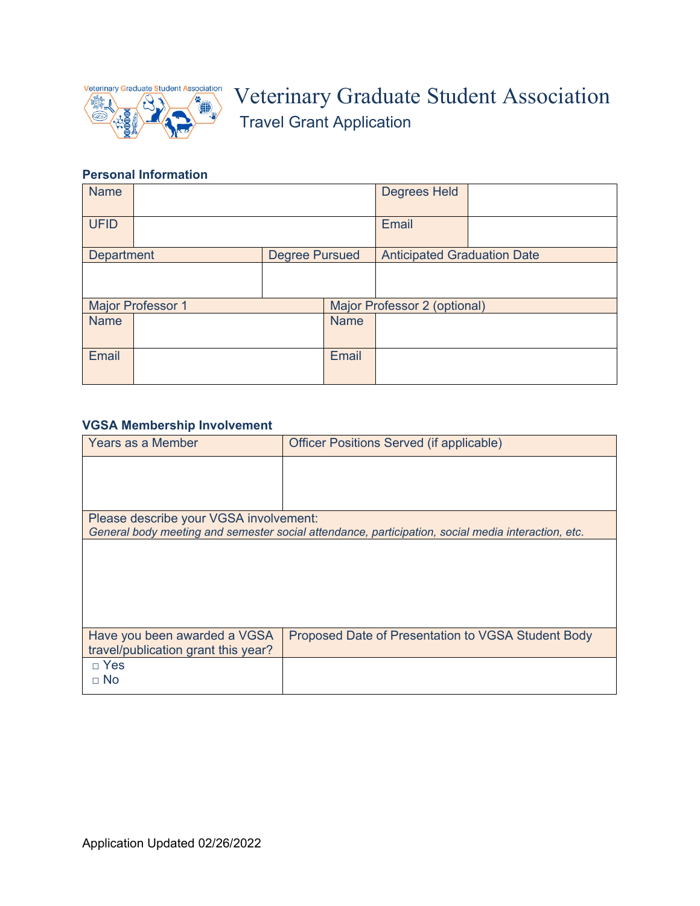

# Veterinary Graduate Student Association Travel Grant Application

# **Personal Information**

| <b>Name</b>              |  |                       |             | <b>Degrees Held</b>                |  |
|--------------------------|--|-----------------------|-------------|------------------------------------|--|
| <b>UFID</b>              |  |                       |             | Email                              |  |
| <b>Department</b>        |  | <b>Degree Pursued</b> |             | <b>Anticipated Graduation Date</b> |  |
|                          |  |                       |             |                                    |  |
| <b>Major Professor 1</b> |  |                       |             | Major Professor 2 (optional)       |  |
| <b>Name</b>              |  |                       | <b>Name</b> |                                    |  |
| Email                    |  |                       | Email       |                                    |  |

# **VGSA Membership Involvement**

| Years as a Member                                                                                  | Officer Positions Served (if applicable)           |  |  |  |  |  |
|----------------------------------------------------------------------------------------------------|----------------------------------------------------|--|--|--|--|--|
|                                                                                                    |                                                    |  |  |  |  |  |
|                                                                                                    |                                                    |  |  |  |  |  |
| Please describe your VGSA involvement:                                                             |                                                    |  |  |  |  |  |
| General body meeting and semester social attendance, participation, social media interaction, etc. |                                                    |  |  |  |  |  |
|                                                                                                    |                                                    |  |  |  |  |  |
| Have you been awarded a VGSA<br>travel/publication grant this year?                                | Proposed Date of Presentation to VGSA Student Body |  |  |  |  |  |
| $\Box$ Yes<br>$\sqcap$ No                                                                          |                                                    |  |  |  |  |  |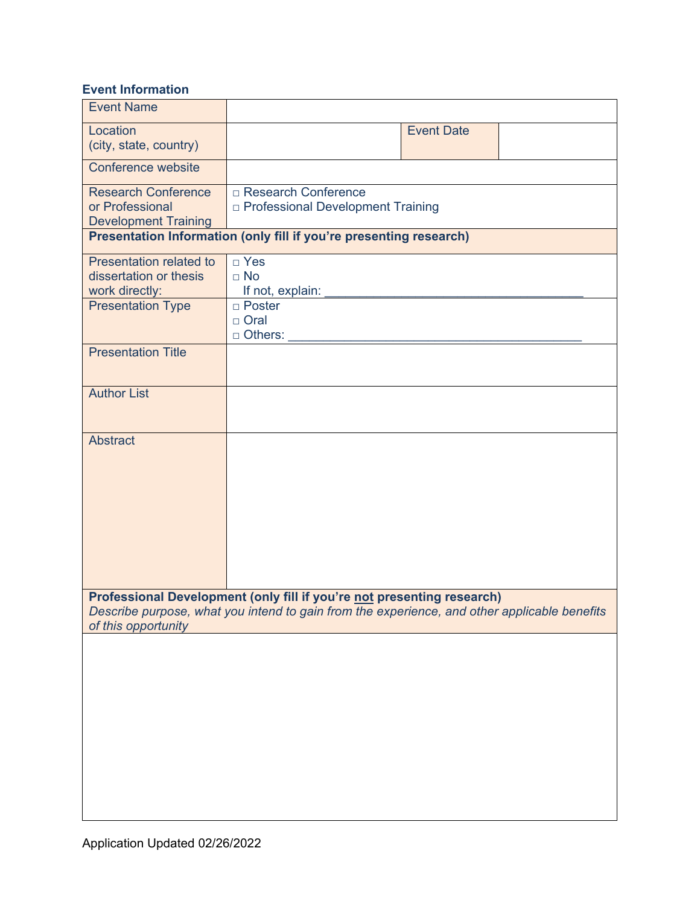# **Event Information**

| <b>Event Name</b>                                                                                                                                                                             |                                                                     |  |  |  |  |  |  |
|-----------------------------------------------------------------------------------------------------------------------------------------------------------------------------------------------|---------------------------------------------------------------------|--|--|--|--|--|--|
| Location<br>(city, state, country)                                                                                                                                                            | <b>Event Date</b>                                                   |  |  |  |  |  |  |
| Conference website                                                                                                                                                                            |                                                                     |  |  |  |  |  |  |
| <b>Research Conference</b><br>or Professional<br><b>Development Training</b>                                                                                                                  | □ Research Conference<br><b>D</b> Professional Development Training |  |  |  |  |  |  |
|                                                                                                                                                                                               | Presentation Information (only fill if you're presenting research)  |  |  |  |  |  |  |
| Presentation related to<br>dissertation or thesis<br>work directly:                                                                                                                           | □ Yes<br>$\Box$ No<br>If not, explain:                              |  |  |  |  |  |  |
| <b>Presentation Type</b>                                                                                                                                                                      | □ Poster<br>□ Oral<br>□ Others:                                     |  |  |  |  |  |  |
| <b>Presentation Title</b>                                                                                                                                                                     |                                                                     |  |  |  |  |  |  |
| <b>Author List</b>                                                                                                                                                                            |                                                                     |  |  |  |  |  |  |
| <b>Abstract</b>                                                                                                                                                                               |                                                                     |  |  |  |  |  |  |
| Professional Development (only fill if you're not presenting research)<br>Describe purpose, what you intend to gain from the experience, and other applicable benefits<br>of this opportunity |                                                                     |  |  |  |  |  |  |
|                                                                                                                                                                                               |                                                                     |  |  |  |  |  |  |
|                                                                                                                                                                                               |                                                                     |  |  |  |  |  |  |
|                                                                                                                                                                                               |                                                                     |  |  |  |  |  |  |
|                                                                                                                                                                                               |                                                                     |  |  |  |  |  |  |